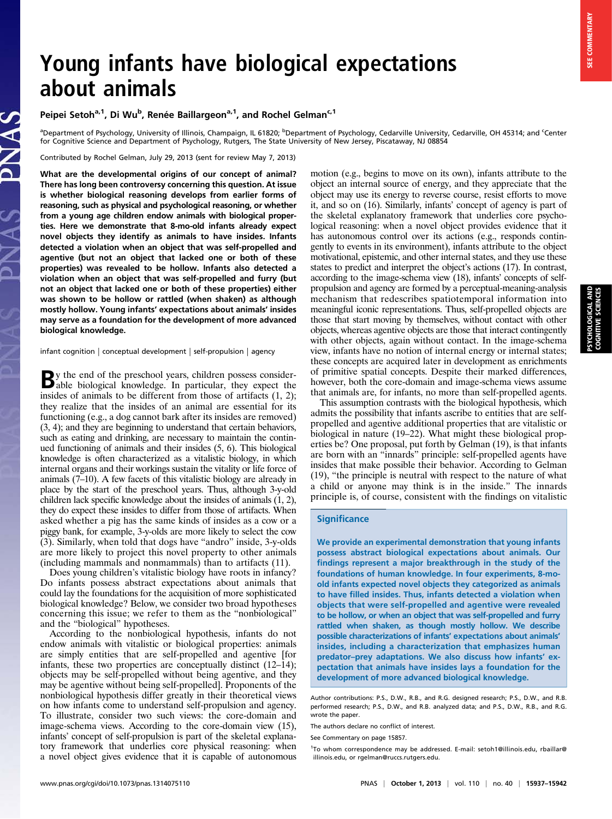## Young infants have biological expectations<br>about animals

## about and the continuum of the setting of the setting of the Peipei Setoh<sup>a,1</sup>, Di Wu<sup>b</sup>, Renée Baillargeon<sup>a,1</sup>, and Rochel Gelman<sup>c,1</sup>

<sup>a</sup>Department of Psychology, University of Illinois, Champaign, IL 61820; <sup>b</sup>Department of Psychology, Cedarville University, Cedarville, OH 45314; and <sup>c</sup>Center for Cognitive Science and Department of Psychology, Rutgers, The State University of New Jersey, Piscataway, NJ 08854

Contributed by Rochel Gelman, July 29, 2013 (sent for review May 7, 2013)

What are the developmental origins of our concept of animal? There has long been controversy concerning this question. At issue is whether biological reasoning develops from earlier forms of reasoning, such as physical and psychological reasoning, or whether from a young age children endow animals with biological properties. Here we demonstrate that 8-mo-old infants already expect novel objects they identify as animals to have insides. Infants detected a violation when an object that was self-propelled and agentive (but not an object that lacked one or both of these properties) was revealed to be hollow. Infants also detected a violation when an object that was self-propelled and furry (but not an object that lacked one or both of these properties) either was shown to be hollow or rattled (when shaken) as although mostly hollow. Young infants' expectations about animals' insides may serve as a foundation for the development of more advanced biological knowledge.

infant cognition | conceptual development | self-propulsion | agency

By the end of the preschool years, children possess consider-<br>able biological knowledge. In particular, they expect the insides of animals to be different from those of artifacts (1, 2); they realize that the insides of an animal are essential for its functioning (e.g., a dog cannot bark after its insides are removed) (3, 4); and they are beginning to understand that certain behaviors, such as eating and drinking, are necessary to maintain the continued functioning of animals and their insides (5, 6). This biological knowledge is often characterized as a vitalistic biology, in which internal organs and their workings sustain the vitality or life force of animals (7–10). A few facets of this vitalistic biology are already in place by the start of the preschool years. Thus, although 3-y-old children lack specific knowledge about the insides of animals (1, 2), they do expect these insides to differ from those of artifacts. When asked whether a pig has the same kinds of insides as a cow or a piggy bank, for example, 3-y-olds are more likely to select the cow (3). Similarly, when told that dogs have "andro" inside, 3-y-olds are more likely to project this novel property to other animals (including mammals and nonmammals) than to artifacts (11).

Does young children's vitalistic biology have roots in infancy? Do infants possess abstract expectations about animals that could lay the foundations for the acquisition of more sophisticated biological knowledge? Below, we consider two broad hypotheses concerning this issue; we refer to them as the "nonbiological" and the "biological" hypotheses.

According to the nonbiological hypothesis, infants do not endow animals with vitalistic or biological properties: animals are simply entities that are self-propelled and agentive [for infants, these two properties are conceptually distinct (12–14); objects may be self-propelled without being agentive, and they may be agentive without being self-propelled]. Proponents of the nonbiological hypothesis differ greatly in their theoretical views on how infants come to understand self-propulsion and agency. To illustrate, consider two such views: the core-domain and image-schema views. According to the core-domain view (15), infants' concept of self-propulsion is part of the skeletal explanatory framework that underlies core physical reasoning: when a novel object gives evidence that it is capable of autonomous motion (e.g., begins to move on its own), infants attribute to the object an internal source of energy, and they appreciate that the object may use its energy to reverse course, resist efforts to move it, and so on (16). Similarly, infants' concept of agency is part of the skeletal explanatory framework that underlies core psychological reasoning: when a novel object provides evidence that it has autonomous control over its actions (e.g., responds contingently to events in its environment), infants attribute to the object motivational, epistemic, and other internal states, and they use these states to predict and interpret the object's actions (17). In contrast, according to the image-schema view (18), infants' concepts of selfpropulsion and agency are formed by a perceptual-meaning-analysis mechanism that redescribes spatiotemporal information into meaningful iconic representations. Thus, self-propelled objects are those that start moving by themselves, without contact with other objects, whereas agentive objects are those that interact contingently with other objects, again without contact. In the image-schema view, infants have no notion of internal energy or internal states; these concepts are acquired later in development as enrichments of primitive spatial concepts. Despite their marked differences, however, both the core-domain and image-schema views assume that animals are, for infants, no more than self-propelled agents.

This assumption contrasts with the biological hypothesis, which admits the possibility that infants ascribe to entities that are selfpropelled and agentive additional properties that are vitalistic or biological in nature (19–22). What might these biological properties be? One proposal, put forth by Gelman (19), is that infants are born with an "innards" principle: self-propelled agents have insides that make possible their behavior. According to Gelman (19), "the principle is neutral with respect to the nature of what a child or anyone may think is in the inside." The innards principle is, of course, consistent with the findings on vitalistic

## **Significance**

We provide an experimental demonstration that young infants possess abstract biological expectations about animals. Our findings represent a major breakthrough in the study of the foundations of human knowledge. In four experiments, 8-moold infants expected novel objects they categorized as animals to have filled insides. Thus, infants detected a violation when objects that were self-propelled and agentive were revealed to be hollow, or when an object that was self-propelled and furry rattled when shaken, as though mostly hollow. We describe possible characterizations of infants' expectations about animals' insides, including a characterization that emphasizes human predator–prey adaptations. We also discuss how infants' expectation that animals have insides lays a foundation for the development of more advanced biological knowledge.

Author contributions: P.S., D.W., R.B., and R.G. designed research; P.S., D.W., and R.B. performed research; P.S., D.W., and R.B. analyzed data; and P.S., D.W., R.B., and R.G. wrote the paper.

The authors declare no conflict of interest.

See Commentary on page 15857.

<sup>&</sup>lt;sup>1</sup>To whom correspondence may be addressed. E-mail: [setoh1@illinois.edu](mailto:setoh1@illinois.edu), [rbaillar@](mailto:rbaillar@illinois.edu) [illinois.edu](mailto:rbaillar@illinois.edu), or [rgelman@ruccs.rutgers.edu](mailto:rgelman@ruccs.rutgers.edu).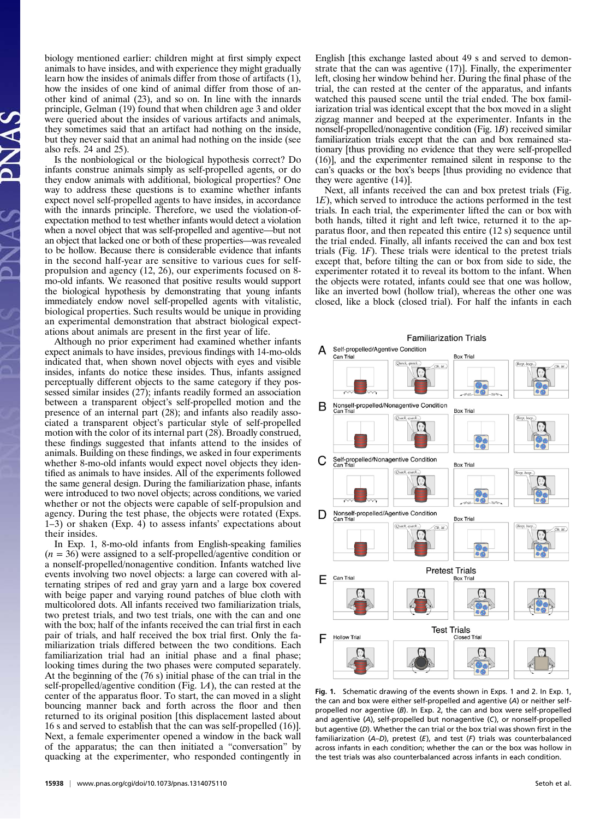biology mentioned earlier: children might at first simply expect animals to have insides, and with experience they might gradually learn how the insides of animals differ from those of artifacts (1), how the insides of one kind of animal differ from those of another kind of animal (23), and so on. In line with the innards principle, Gelman (19) found that when children age 3 and older were queried about the insides of various artifacts and animals, they sometimes said that an artifact had nothing on the inside, but they never said that an animal had nothing on the inside (see also refs. 24 and 25).

Is the nonbiological or the biological hypothesis correct? Do infants construe animals simply as self-propelled agents, or do they endow animals with additional, biological properties? One way to address these questions is to examine whether infants expect novel self-propelled agents to have insides, in accordance with the innards principle. Therefore, we used the violation-ofexpectation method to test whether infants would detect a violation when a novel object that was self-propelled and agentive—but not an object that lacked one or both of these properties—was revealed to be hollow. Because there is considerable evidence that infants in the second half-year are sensitive to various cues for selfpropulsion and agency (12, 26), our experiments focused on 8 mo-old infants. We reasoned that positive results would support the biological hypothesis by demonstrating that young infants immediately endow novel self-propelled agents with vitalistic, biological properties. Such results would be unique in providing an experimental demonstration that abstract biological expectations about animals are present in the first year of life.

Although no prior experiment had examined whether infants expect animals to have insides, previous findings with 14-mo-olds indicated that, when shown novel objects with eyes and visible insides, infants do notice these insides. Thus, infants assigned perceptually different objects to the same category if they possessed similar insides (27); infants readily formed an association between a transparent object's self-propelled motion and the presence of an internal part (28); and infants also readily associated a transparent object's particular style of self-propelled motion with the color of its internal part (28). Broadly construed, these findings suggested that infants attend to the insides of animals. Building on these findings, we asked in four experiments whether 8-mo-old infants would expect novel objects they identified as animals to have insides. All of the experiments followed the same general design. During the familiarization phase, infants were introduced to two novel objects; across conditions, we varied whether or not the objects were capable of self-propulsion and agency. During the test phase, the objects were rotated (Exps. 1–3) or shaken (Exp. 4) to assess infants' expectations about their insides.

In Exp. 1, 8-mo-old infants from English-speaking families  $(n = 36)$  were assigned to a self-propelled/agentive condition or a nonself-propelled/nonagentive condition. Infants watched live events involving two novel objects: a large can covered with alternating stripes of red and gray yarn and a large box covered with beige paper and varying round patches of blue cloth with multicolored dots. All infants received two familiarization trials, two pretest trials, and two test trials, one with the can and one with the box; half of the infants received the can trial first in each pair of trials, and half received the box trial first. Only the familiarization trials differed between the two conditions. Each familiarization trial had an initial phase and a final phase; looking times during the two phases were computed separately. At the beginning of the (76 s) initial phase of the can trial in the self-propelled/agentive condition (Fig. 1A), the can rested at the center of the apparatus floor. To start, the can moved in a slight bouncing manner back and forth across the floor and then returned to its original position [this displacement lasted about 16 s and served to establish that the can was self-propelled (16)]. Next, a female experimenter opened a window in the back wall of the apparatus; the can then initiated a "conversation" by quacking at the experimenter, who responded contingently in English [this exchange lasted about 49 s and served to demonstrate that the can was agentive (17)]. Finally, the experimenter left, closing her window behind her. During the final phase of the trial, the can rested at the center of the apparatus, and infants watched this paused scene until the trial ended. The box familiarization trial was identical except that the box moved in a slight zigzag manner and beeped at the experimenter. Infants in the nonself-propelled/nonagentive condition (Fig. 1B) received similar familiarization trials except that the can and box remained stationary [thus providing no evidence that they were self-propelled (16)], and the experimenter remained silent in response to the can's quacks or the box's beeps [thus providing no evidence that they were agentive (14)].

Next, all infants received the can and box pretest trials (Fig. 1E), which served to introduce the actions performed in the test trials. In each trial, the experimenter lifted the can or box with both hands, tilted it right and left twice, returned it to the apparatus floor, and then repeated this entire (12 s) sequence until the trial ended. Finally, all infants received the can and box test trials (Fig.  $1F$ ). These trials were identical to the pretest trials except that, before tilting the can or box from side to side, the experimenter rotated it to reveal its bottom to the infant. When the objects were rotated, infants could see that one was hollow, like an inverted bowl (hollow trial), whereas the other one was closed, like a block (closed trial). For half the infants in each



Fig. 1. Schematic drawing of the events shown in Exps. 1 and 2. In Exp. 1, the can and box were either self-propelled and agentive (A) or neither selfpropelled nor agentive (B). In Exp. 2, the can and box were self-propelled and agentive (A), self-propelled but nonagentive (C), or nonself-propelled but agentive (D). Whether the can trial or the box trial was shown first in the familiarization (A–D), pretest  $(E)$ , and test  $(F)$  trials was counterbalanced across infants in each condition; whether the can or the box was hollow in the test trials was also counterbalanced across infants in each condition.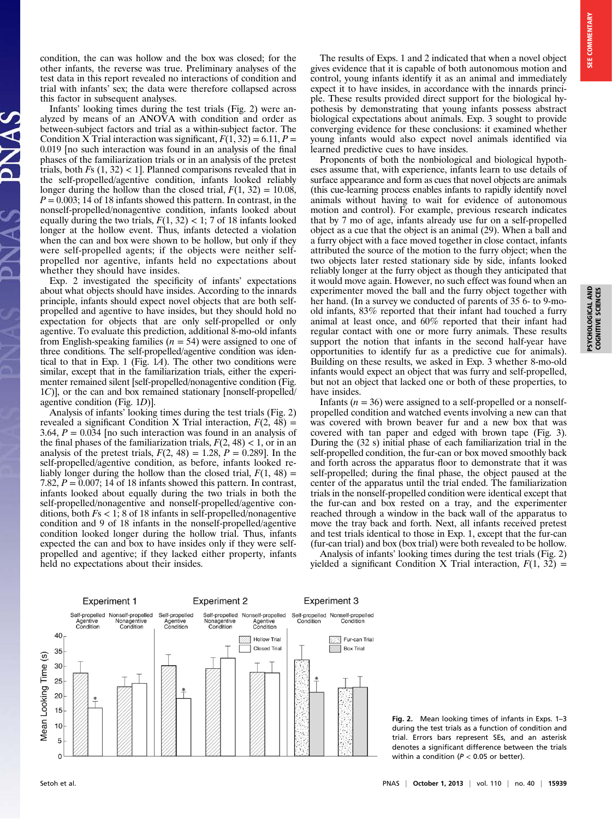condition, the can was hollow and the box was closed; for the other infants, the reverse was true. Preliminary analyses of the test data in this report revealed no interactions of condition and trial with infants' sex; the data were therefore collapsed across this factor in subsequent analyses.

Infants' looking times during the test trials (Fig. 2) were analyzed by means of an ANOVA with condition and order as between-subject factors and trial as a within-subject factor. The Condition X Trial interaction was significant,  $F(1, 32) = 6.11$ ,  $P =$ 0.019 [no such interaction was found in an analysis of the final phases of the familiarization trials or in an analysis of the pretest trials, both  $Fs(1, 32) < 1$ . Planned comparisons revealed that in the self-propelled/agentive condition, infants looked reliably longer during the hollow than the closed trial,  $F(1, 32) = 10.08$ ,  $P = 0.003$ ; 14 of 18 infants showed this pattern. In contrast, in the nonself-propelled/nonagentive condition, infants looked about equally during the two trials,  $F(1, 32) < 1$ ; 7 of 18 infants looked longer at the hollow event. Thus, infants detected a violation when the can and box were shown to be hollow, but only if they were self-propelled agents; if the objects were neither selfpropelled nor agentive, infants held no expectations about whether they should have insides.

Exp. 2 investigated the specificity of infants' expectations about what objects should have insides. According to the innards principle, infants should expect novel objects that are both selfpropelled and agentive to have insides, but they should hold no expectation for objects that are only self-propelled or only agentive. To evaluate this prediction, additional 8-mo-old infants from English-speaking families ( $n = 54$ ) were assigned to one of three conditions. The self-propelled/agentive condition was identical to that in Exp. 1 (Fig. 1A). The other two conditions were similar, except that in the familiarization trials, either the experimenter remained silent [self-propelled/nonagentive condition (Fig. 1C)], or the can and box remained stationary [nonself-propelled/ agentive condition (Fig. 1D)].

Analysis of infants' looking times during the test trials (Fig. 2) revealed a significant Condition X Trial interaction,  $F(2, 48) =$ 3.64,  $P = 0.034$  [no such interaction was found in an analysis of the final phases of the familiarization trials,  $F(2, 48) < 1$ , or in an analysis of the pretest trials,  $F(2, 48) = 1.28$ ,  $P = 0.289$ . In the self-propelled/agentive condition, as before, infants looked reliably longer during the hollow than the closed trial,  $F(1, 48) =$ 7.82,  $P = 0.007$ ; 14 of 18 infants showed this pattern. In contrast, infants looked about equally during the two trials in both the self-propelled/nonagentive and nonself-propelled/agentive conditions, both  $Fs < 1$ ; 8 of 18 infants in self-propelled/nonagentive condition and 9 of 18 infants in the nonself-propelled/agentive condition looked longer during the hollow trial. Thus, infants expected the can and box to have insides only if they were selfpropelled and agentive; if they lacked either property, infants held no expectations about their insides.

The results of Exps. 1 and 2 indicated that when a novel object gives evidence that it is capable of both autonomous motion and control, young infants identify it as an animal and immediately expect it to have insides, in accordance with the innards principle. These results provided direct support for the biological hypothesis by demonstrating that young infants possess abstract biological expectations about animals. Exp. 3 sought to provide converging evidence for these conclusions: it examined whether young infants would also expect novel animals identified via learned predictive cues to have insides.

Proponents of both the nonbiological and biological hypotheses assume that, with experience, infants learn to use details of surface appearance and form as cues that novel objects are animals (this cue-learning process enables infants to rapidly identify novel animals without having to wait for evidence of autonomous motion and control). For example, previous research indicates that by 7 mo of age, infants already use fur on a self-propelled object as a cue that the object is an animal (29). When a ball and a furry object with a face moved together in close contact, infants attributed the source of the motion to the furry object; when the two objects later rested stationary side by side, infants looked reliably longer at the furry object as though they anticipated that it would move again. However, no such effect was found when an experimenter moved the ball and the furry object together with her hand. (In a survey we conducted of parents of 35 6- to 9-moold infants, 83% reported that their infant had touched a furry animal at least once, and 60% reported that their infant had regular contact with one or more furry animals. These results support the notion that infants in the second half-year have opportunities to identify fur as a predictive cue for animals). Building on these results, we asked in Exp. 3 whether 8-mo-old infants would expect an object that was furry and self-propelled, but not an object that lacked one or both of these properties, to have insides.

Infants ( $n = 36$ ) were assigned to a self-propelled or a nonselfpropelled condition and watched events involving a new can that was covered with brown beaver fur and a new box that was covered with tan paper and edged with brown tape (Fig. 3). During the (32 s) initial phase of each familiarization trial in the self-propelled condition, the fur-can or box moved smoothly back and forth across the apparatus floor to demonstrate that it was self-propelled; during the final phase, the object paused at the center of the apparatus until the trial ended. The familiarization trials in the nonself-propelled condition were identical except that the fur-can and box rested on a tray, and the experimenter reached through a window in the back wall of the apparatus to move the tray back and forth. Next, all infants received pretest and test trials identical to those in Exp. 1, except that the fur-can (fur-can trial) and box (box trial) were both revealed to be hollow.

Analysis of infants' looking times during the test trials (Fig. 2) yielded a significant Condition X Trial interaction,  $F(1, 32) =$ 



Fig. 2. Mean looking times of infants in Exps. 1–3 during the test trials as a function of condition and trial. Errors bars represent SEs, and an asterisk denotes a significant difference between the trials within a condition ( $P < 0.05$  or better).

 $\Omega$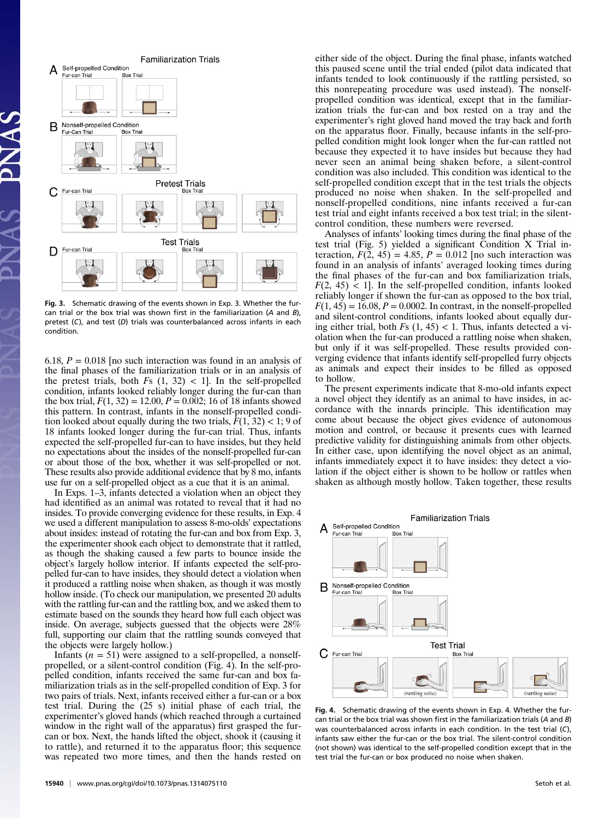

Fig. 3. Schematic drawing of the events shown in Exp. 3. Whether the furcan trial or the box trial was shown first in the familiarization (A and B), pretest (C), and test (D) trials was counterbalanced across infants in each condition.

6.18,  $P = 0.018$  [no such interaction was found in an analysis of the final phases of the familiarization trials or in an analysis of the pretest trials, both  $Fs(1, 32) < 1$ . In the self-propelled condition, infants looked reliably longer during the fur-can than the box trial,  $F(1, 32) = 12.00$ ,  $P = 0.002$ ; 16 of 18 infants showed this pattern. In contrast, infants in the nonself-propelled condition looked about equally during the two trials,  $F(1, 32) < 1$ ; 9 of 18 infants looked longer during the fur-can trial. Thus, infants expected the self-propelled fur-can to have insides, but they held no expectations about the insides of the nonself-propelled fur-can or about those of the box, whether it was self-propelled or not. These results also provide additional evidence that by 8 mo, infants use fur on a self-propelled object as a cue that it is an animal.

In Exps. 1–3, infants detected a violation when an object they had identified as an animal was rotated to reveal that it had no insides. To provide converging evidence for these results, in Exp. 4 we used a different manipulation to assess 8-mo-olds' expectations about insides: instead of rotating the fur-can and box from Exp. 3, the experimenter shook each object to demonstrate that it rattled, as though the shaking caused a few parts to bounce inside the object's largely hollow interior. If infants expected the self-propelled fur-can to have insides, they should detect a violation when it produced a rattling noise when shaken, as though it was mostly hollow inside. (To check our manipulation, we presented 20 adults with the rattling fur-can and the rattling box, and we asked them to estimate based on the sounds they heard how full each object was inside. On average, subjects guessed that the objects were 28% full, supporting our claim that the rattling sounds conveyed that the objects were largely hollow.)

Infants  $(n = 51)$  were assigned to a self-propelled, a nonselfpropelled, or a silent-control condition (Fig. 4). In the self-propelled condition, infants received the same fur-can and box familiarization trials as in the self-propelled condition of Exp. 3 for two pairs of trials. Next, infants received either a fur-can or a box test trial. During the (25 s) initial phase of each trial, the experimenter's gloved hands (which reached through a curtained window in the right wall of the apparatus) first grasped the furcan or box. Next, the hands lifted the object, shook it (causing it to rattle), and returned it to the apparatus floor; this sequence was repeated two more times, and then the hands rested on

either side of the object. During the final phase, infants watched this paused scene until the trial ended (pilot data indicated that infants tended to look continuously if the rattling persisted, so this nonrepeating procedure was used instead). The nonselfpropelled condition was identical, except that in the familiarization trials the fur-can and box rested on a tray and the experimenter's right gloved hand moved the tray back and forth on the apparatus floor. Finally, because infants in the self-propelled condition might look longer when the fur-can rattled not because they expected it to have insides but because they had never seen an animal being shaken before, a silent-control condition was also included. This condition was identical to the self-propelled condition except that in the test trials the objects produced no noise when shaken. In the self-propelled and nonself-propelled conditions, nine infants received a fur-can test trial and eight infants received a box test trial; in the silentcontrol condition, these numbers were reversed.

Analyses of infants' looking times during the final phase of the test trial (Fig. 5) yielded a significant Condition X Trial interaction,  $F(2, 45) = 4.85$ ,  $P = 0.012$  [no such interaction was found in an analysis of infants' averaged looking times during the final phases of the fur-can and box familiarization trials,  $F(2, 45)$  < 1]. In the self-propelled condition, infants looked reliably longer if shown the fur-can as opposed to the box trial,  $F(1, 45) = 16.08$ ,  $P = 0.0002$ . In contrast, in the nonself-propelled and silent-control conditions, infants looked about equally during either trial, both  $Fs(1, 45) < 1$ . Thus, infants detected a violation when the fur-can produced a rattling noise when shaken, but only if it was self-propelled. These results provided converging evidence that infants identify self-propelled furry objects as animals and expect their insides to be filled as opposed to hollow.

The present experiments indicate that 8-mo-old infants expect a novel object they identify as an animal to have insides, in accordance with the innards principle. This identification may come about because the object gives evidence of autonomous motion and control, or because it presents cues with learned predictive validity for distinguishing animals from other objects. In either case, upon identifying the novel object as an animal, infants immediately expect it to have insides: they detect a violation if the object either is shown to be hollow or rattles when shaken as although mostly hollow. Taken together, these results



Fig. 4. Schematic drawing of the events shown in Exp. 4. Whether the furcan trial or the box trial was shown first in the familiarization trials (A and B) was counterbalanced across infants in each condition. In the test trial (C), infants saw either the fur-can or the box trial. The silent-control condition (not shown) was identical to the self-propelled condition except that in the test trial the fur-can or box produced no noise when shaken.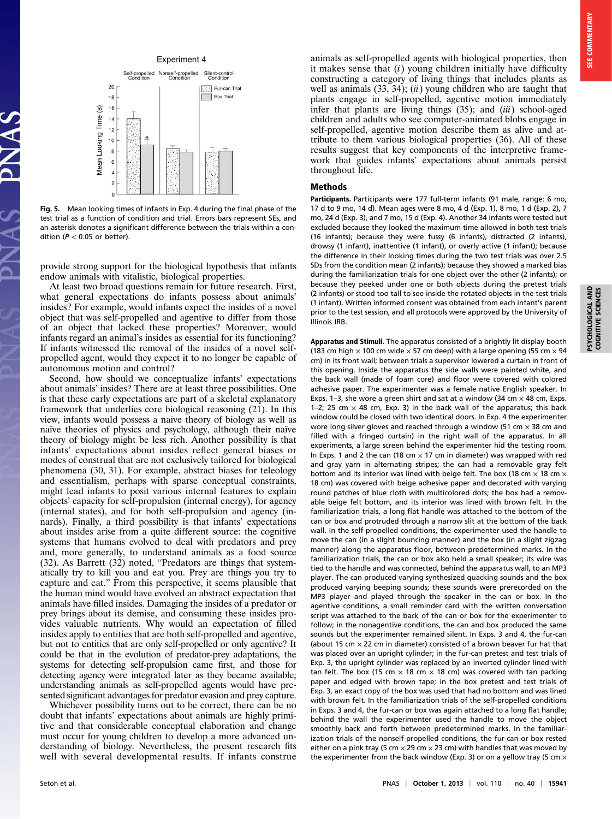**Experiment 4** 



Fig. 5. Mean looking times of infants in Exp. 4 during the final phase of the test trial as a function of condition and trial. Errors bars represent SEs, and an asterisk denotes a significant difference between the trials within a condition ( $P < 0.05$  or better).

provide strong support for the biological hypothesis that infants endow animals with vitalistic, biological properties.

At least two broad questions remain for future research. First, what general expectations do infants possess about animals' insides? For example, would infants expect the insides of a novel object that was self-propelled and agentive to differ from those of an object that lacked these properties? Moreover, would infants regard an animal's insides as essential for its functioning? If infants witnessed the removal of the insides of a novel selfpropelled agent, would they expect it to no longer be capable of autonomous motion and control?

Second, how should we conceptualize infants' expectations about animals' insides? There are at least three possibilities. One is that these early expectations are part of a skeletal explanatory framework that underlies core biological reasoning (21). In this view, infants would possess a naïve theory of biology as well as naïve theories of physics and psychology, although their naïve theory of biology might be less rich. Another possibility is that infants' expectations about insides reflect general biases or modes of construal that are not exclusively tailored for biological phenomena (30, 31). For example, abstract biases for teleology and essentialism, perhaps with sparse conceptual constraints, might lead infants to posit various internal features to explain objects' capacity for self-propulsion (internal energy), for agency (internal states), and for both self-propulsion and agency (innards). Finally, a third possibility is that infants' expectations about insides arise from a quite different source: the cognitive systems that humans evolved to deal with predators and prey and, more generally, to understand animals as a food source (32). As Barrett (32) noted, "Predators are things that systematically try to kill you and eat you. Prey are things you try to capture and eat." From this perspective, it seems plausible that the human mind would have evolved an abstract expectation that animals have filled insides. Damaging the insides of a predator or prey brings about its demise, and consuming these insides provides valuable nutrients. Why would an expectation of filled insides apply to entities that are both self-propelled and agentive, but not to entities that are only self-propelled or only agentive? It could be that in the evolution of predator-prey adaptations, the systems for detecting self-propulsion came first, and those for detecting agency were integrated later as they became available; understanding animals as self-propelled agents would have presented significant advantages for predator evasion and prey capture.

Whichever possibility turns out to be correct, there can be no doubt that infants' expectations about animals are highly primitive and that considerable conceptual elaboration and change must occur for young children to develop a more advanced understanding of biology. Nevertheless, the present research fits well with several developmental results. If infants construe

animals as self-propelled agents with biological properties, then it makes sense that  $(i)$  young children initially have difficulty constructing a category of living things that includes plants as well as animals  $(33, 34)$ ;  $(ii)$  young children who are taught that plants engage in self-propelled, agentive motion immediately infer that plants are living things  $(35)$ ; and  $(iii)$  school-aged children and adults who see computer-animated blobs engage in self-propelled, agentive motion describe them as alive and attribute to them various biological properties (36). All of these results suggest that key components of the interpretive framework that guides infants' expectations about animals persist throughout life.

## Methods

Participants. Participants were 177 full-term infants (91 male, range: 6 mo, 17 d to 9 mo, 14 d). Mean ages were 8 mo, 4 d (Exp. 1), 8 mo, 1 d (Exp. 2), 7 mo, 24 d (Exp. 3), and 7 mo, 15 d (Exp. 4). Another 34 infants were tested but excluded because they looked the maximum time allowed in both test trials (16 infants); because they were fussy (6 infants), distracted (2 infants), drowsy (1 infant), inattentive (1 infant), or overly active (1 infant); because the difference in their looking times during the two test trials was over 2.5 SDs from the condition mean (2 infants); because they showed a marked bias during the familiarization trials for one object over the other (2 infants); or because they peeked under one or both objects during the pretest trials (2 infants) or stood too tall to see inside the rotated objects in the test trials (1 infant). Written informed consent was obtained from each infant's parent prior to the test session, and all protocols were approved by the University of Illinois IRB.

Apparatus and Stimuli. The apparatus consisted of a brightly lit display booth (183 cm high  $\times$  100 cm wide  $\times$  57 cm deep) with a large opening (55 cm  $\times$  94 cm) in its front wall; between trials a supervisor lowered a curtain in front of this opening. Inside the apparatus the side walls were painted white, and the back wall (made of foam core) and floor were covered with colored adhesive paper. The experimenter was a female native English speaker. In Exps. 1–3, she wore a green shirt and sat at a window (34 cm  $\times$  48 cm, Exps. 1–2: 25 cm  $\times$  48 cm, Exp. 3) in the back wall of the apparatus; this back window could be closed with two identical doors. In Exp. 4 the experimenter wore long silver gloves and reached through a window (51 cm  $\times$  38 cm and filled with a fringed curtain) in the right wall of the apparatus. In all experiments, a large screen behind the experimenter hid the testing room. In Exps. 1 and 2 the can (18 cm  $\times$  17 cm in diameter) was wrapped with red and gray yarn in alternating stripes; the can had a removable gray felt bottom and its interior was lined with beige felt. The box (18 cm  $\times$  18 cm  $\times$ 18 cm) was covered with beige adhesive paper and decorated with varying round patches of blue cloth with multicolored dots; the box had a removable beige felt bottom, and its interior was lined with brown felt. In the familiarization trials, a long flat handle was attached to the bottom of the can or box and protruded through a narrow slit at the bottom of the back wall. In the self-propelled conditions, the experimenter used the handle to move the can (in a slight bouncing manner) and the box (in a slight zigzag manner) along the apparatus floor, between predetermined marks. In the familiarization trials, the can or box also held a small speaker; its wire was tied to the handle and was connected, behind the apparatus wall, to an MP3 player. The can produced varying synthesized quacking sounds and the box produced varying beeping sounds; these sounds were prerecorded on the MP3 player and played through the speaker in the can or box. In the agentive conditions, a small reminder card with the written conversation script was attached to the back of the can or box for the experimenter to follow; in the nonagentive conditions, the can and box produced the same sounds but the experimenter remained silent. In Exps. 3 and 4, the fur-can (about 15 cm  $\times$  22 cm in diameter) consisted of a brown beaver fur hat that was placed over an upright cylinder; in the fur-can pretest and test trials of Exp. 3, the upright cylinder was replaced by an inverted cylinder lined with tan felt. The box (15 cm  $\times$  18 cm  $\times$  18 cm) was covered with tan packing paper and edged with brown tape; in the box pretest and test trials of Exp. 3, an exact copy of the box was used that had no bottom and was lined with brown felt. In the familiarization trials of the self-propelled conditions in Exps. 3 and 4, the fur-can or box was again attached to a long flat handle; behind the wall the experimenter used the handle to move the object smoothly back and forth between predetermined marks. In the familiarization trials of the nonself-propelled conditions, the fur-can or box rested either on a pink tray (5 cm  $\times$  29 cm  $\times$  23 cm) with handles that was moved by the experimenter from the back window (Exp. 3) or on a yellow tray (5 cm  $\times$